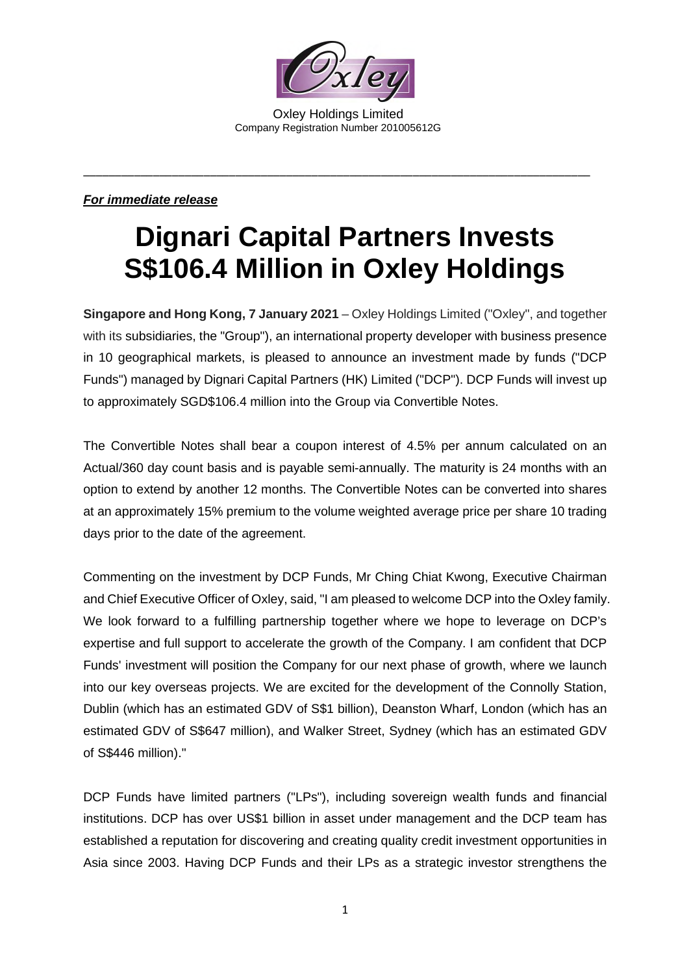

Oxley Holdings Limited Company Registration Number 201005612G

\_\_\_\_\_\_\_\_\_\_\_\_\_\_\_\_\_\_\_\_\_\_\_\_\_\_\_\_\_\_\_\_\_\_\_\_\_\_\_\_\_\_\_\_\_\_\_\_\_\_\_\_\_\_\_\_\_\_\_\_\_\_\_\_\_\_\_\_\_\_\_\_\_\_\_\_\_\_\_\_

## *For immediate release*

## **Dignari Capital Partners Invests S\$106.4 Million in Oxley Holdings**

**Singapore and Hong Kong, 7 January 2021** – Oxley Holdings Limited ("Oxley", and together with its subsidiaries, the "Group"), an international property developer with business presence in 10 geographical markets, is pleased to announce an investment made by funds ("DCP Funds") managed by Dignari Capital Partners (HK) Limited ("DCP"). DCP Funds will invest up to approximately SGD\$106.4 million into the Group via Convertible Notes.

The Convertible Notes shall bear a coupon interest of 4.5% per annum calculated on an Actual/360 day count basis and is payable semi-annually. The maturity is 24 months with an option to extend by another 12 months. The Convertible Notes can be converted into shares at an approximately 15% premium to the volume weighted average price per share 10 trading days prior to the date of the agreement.

Commenting on the investment by DCP Funds, Mr Ching Chiat Kwong, Executive Chairman and Chief Executive Officer of Oxley, said, "I am pleased to welcome DCP into the Oxley family. We look forward to a fulfilling partnership together where we hope to leverage on DCP's expertise and full support to accelerate the growth of the Company. I am confident that DCP Funds' investment will position the Company for our next phase of growth, where we launch into our key overseas projects. We are excited for the development of the Connolly Station, Dublin (which has an estimated GDV of S\$1 billion), Deanston Wharf, London (which has an estimated GDV of S\$647 million), and Walker Street, Sydney (which has an estimated GDV of S\$446 million)."

DCP Funds have limited partners ("LPs"), including sovereign wealth funds and financial institutions. DCP has over US\$1 billion in asset under management and the DCP team has established a reputation for discovering and creating quality credit investment opportunities in Asia since 2003. Having DCP Funds and their LPs as a strategic investor strengthens the